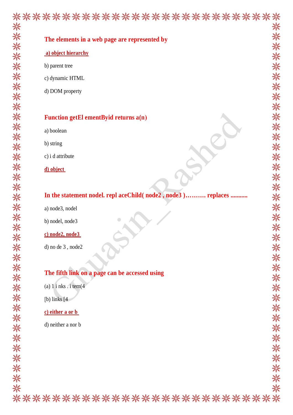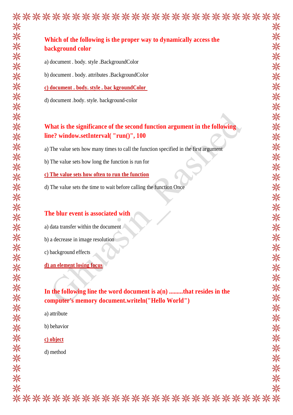| Which of the following is the proper way to dynamically access the<br>background color                                     |  |
|----------------------------------------------------------------------------------------------------------------------------|--|
| a) document . body. style .BackgroundColor                                                                                 |  |
| b) document . body. attributes .BackgroundColor                                                                            |  |
| c) document . body. style . bac kgroundColor                                                                               |  |
| d) document .body. style. background-color                                                                                 |  |
| What is the significance of the second function argument in the following<br>line? window.setInterval( "run()", 100        |  |
| a) The value sets how many times to call the function specified in the first argument                                      |  |
| b) The value sets how long the function is run for                                                                         |  |
| c) The value sets how often to run the function                                                                            |  |
| d) The value sets the time to wait before calling the function Once                                                        |  |
|                                                                                                                            |  |
| The blur event is associated with                                                                                          |  |
| a) data transfer within the document                                                                                       |  |
| b) a decrease in image resolution                                                                                          |  |
| c) background effects                                                                                                      |  |
|                                                                                                                            |  |
| d) an element losing focus                                                                                                 |  |
|                                                                                                                            |  |
| In the following line the word document is $a(n)$ that resides in the<br>computer's memory document.writeln("Hello World") |  |
|                                                                                                                            |  |
| a) attribute                                                                                                               |  |
| b) behavior                                                                                                                |  |
| c) object                                                                                                                  |  |
| d) method                                                                                                                  |  |
|                                                                                                                            |  |
|                                                                                                                            |  |